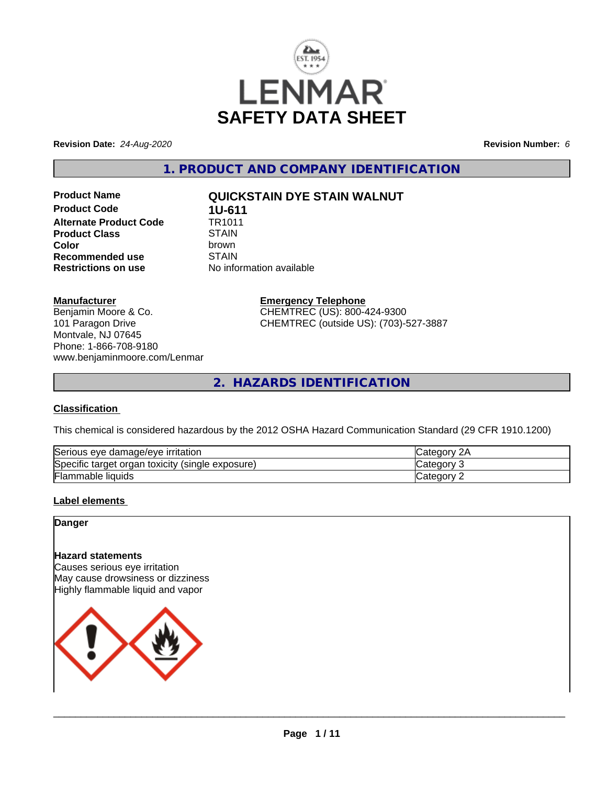

**Revision Date:** *24-Aug-2020* **Revision Number:** *6*

**1. PRODUCT AND COMPANY IDENTIFICATION**

**Product Code 1U-611**<br>**Alternate Product Code 1R1011 Alternate Product Code Product Class** STAIN<br> **Color** brown **Recommended use** STAIN<br>**Restrictions on use** No info

# **Product Name QUICKSTAIN DYE STAIN WALNUT**

**Color** brown **No information available** 

#### **Manufacturer**

Benjamin Moore & Co. 101 Paragon Drive Montvale, NJ 07645 Phone: 1-866-708-9180 www.benjaminmoore.com/Lenmar

# **Emergency Telephone**

CHEMTREC (US): 800-424-9300 CHEMTREC (outside US): (703)-527-3887

**2. HAZARDS IDENTIFICATION**

#### **Classification**

This chemical is considered hazardous by the 2012 OSHA Hazard Communication Standard (29 CFR 1910.1200)

| $\sim$                                                           | ົດ ^                 |
|------------------------------------------------------------------|----------------------|
| e damage/eve irritation                                          | $\sim$ $\sim$ $\sim$ |
| Serious eve                                                      | וחר                  |
| Specific<br>exposure)<br>toxicity<br>organ<br>(single)<br>target | ≀ח∩r                 |
| ╺                                                                | : ategor             |
| Flammable liquids                                                | -                    |

## **Label elements**

**Danger**

# **Hazard statements**

Causes serious eye irritation May cause drowsiness or dizziness Highly flammable liquid and vapor

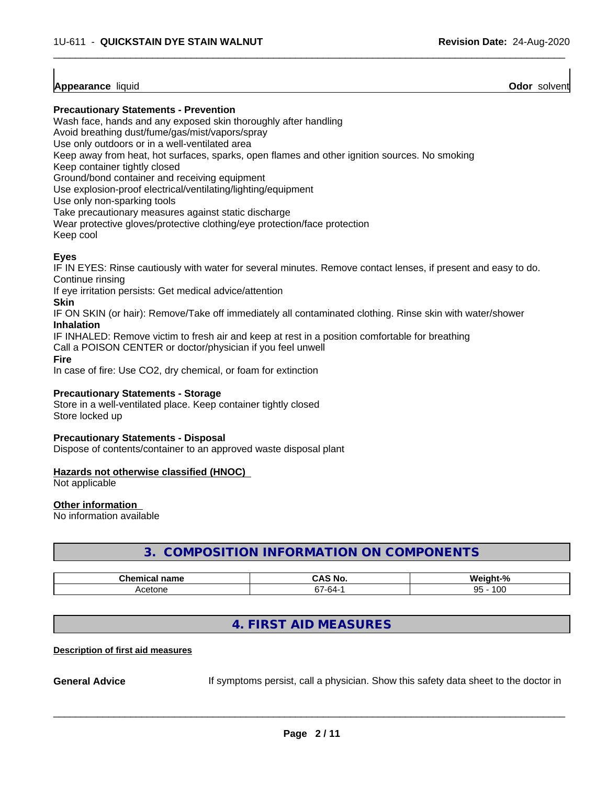### **Appearance** liquid **Odor** solvent

#### **Precautionary Statements - Prevention**

Wash face, hands and any exposed skin thoroughly after handling

Avoid breathing dust/fume/gas/mist/vapors/spray

Use only outdoors or in a well-ventilated area

Keep away from heat, hot surfaces, sparks, open flames and other ignition sources. No smoking

Keep container tightly closed

Ground/bond container and receiving equipment

Use explosion-proof electrical/ventilating/lighting/equipment

Use only non-sparking tools

Take precautionary measures against static discharge

Wear protective gloves/protective clothing/eye protection/face protection

Keep cool

# **Eyes**

IF IN EYES: Rinse cautiously with water for several minutes. Remove contact lenses, if present and easy to do. Continue rinsing

 $\overline{\phantom{a}}$  ,  $\overline{\phantom{a}}$  ,  $\overline{\phantom{a}}$  ,  $\overline{\phantom{a}}$  ,  $\overline{\phantom{a}}$  ,  $\overline{\phantom{a}}$  ,  $\overline{\phantom{a}}$  ,  $\overline{\phantom{a}}$  ,  $\overline{\phantom{a}}$  ,  $\overline{\phantom{a}}$  ,  $\overline{\phantom{a}}$  ,  $\overline{\phantom{a}}$  ,  $\overline{\phantom{a}}$  ,  $\overline{\phantom{a}}$  ,  $\overline{\phantom{a}}$  ,  $\overline{\phantom{a}}$ 

If eye irritation persists: Get medical advice/attention

#### **Skin**

IF ON SKIN (or hair): Remove/Take off immediately all contaminated clothing. Rinse skin with water/shower **Inhalation**

IF INHALED: Remove victim to fresh air and keep at rest in a position comfortable for breathing

Call a POISON CENTER or doctor/physician if you feel unwell

**Fire**

In case of fire: Use CO2, dry chemical, or foam for extinction

#### **Precautionary Statements - Storage**

Store in a well-ventilated place. Keep container tightly closed Store locked up

#### **Precautionary Statements - Disposal**

Dispose of contents/container to an approved waste disposal plant

#### **Hazards not otherwise classified (HNOC)**

Not applicable

#### **Other information**

No information available

# **3. COMPOSITION INFORMATION ON COMPONENTS**

| <b>Phome</b><br>name<br>. | NO<br>uni         | О.<br>---<br>,,                   |
|---------------------------|-------------------|-----------------------------------|
| atonc<br>~<br>50 J I I    | --<br>-n4-<br>. . | 10 <sup>c</sup><br>ΩE<br>.uu<br>ື |

# **4. FIRST AID MEASURES**

#### **Description of first aid measures**

**General Advice** If symptoms persist, call a physician. Show this safety data sheet to the doctor in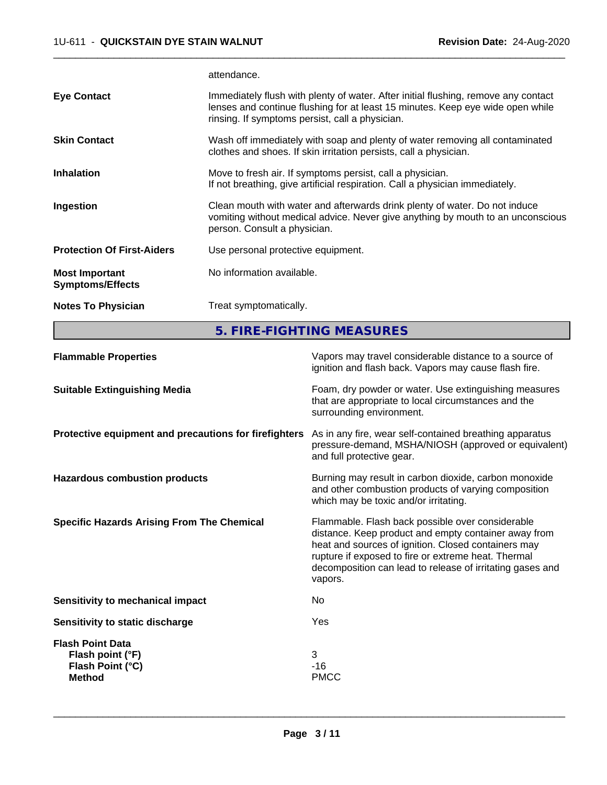attendance.

|                                                  | 5. FIRE-FIGHTING MEASURES                                                                                                                                                                                               |
|--------------------------------------------------|-------------------------------------------------------------------------------------------------------------------------------------------------------------------------------------------------------------------------|
| <b>Notes To Physician</b>                        | Treat symptomatically.                                                                                                                                                                                                  |
| <b>Most Important</b><br><b>Symptoms/Effects</b> | No information available.                                                                                                                                                                                               |
| <b>Protection Of First-Aiders</b>                | Use personal protective equipment.                                                                                                                                                                                      |
| Ingestion                                        | Clean mouth with water and afterwards drink plenty of water. Do not induce<br>vomiting without medical advice. Never give anything by mouth to an unconscious<br>person. Consult a physician.                           |
| <b>Inhalation</b>                                | Move to fresh air. If symptoms persist, call a physician.<br>If not breathing, give artificial respiration. Call a physician immediately.                                                                               |
| <b>Skin Contact</b>                              | Wash off immediately with soap and plenty of water removing all contaminated<br>clothes and shoes. If skin irritation persists, call a physician.                                                                       |
| <b>Eye Contact</b>                               | Immediately flush with plenty of water. After initial flushing, remove any contact<br>lenses and continue flushing for at least 15 minutes. Keep eye wide open while<br>rinsing. If symptoms persist, call a physician. |
|                                                  |                                                                                                                                                                                                                         |

 $\overline{\phantom{a}}$  ,  $\overline{\phantom{a}}$  ,  $\overline{\phantom{a}}$  ,  $\overline{\phantom{a}}$  ,  $\overline{\phantom{a}}$  ,  $\overline{\phantom{a}}$  ,  $\overline{\phantom{a}}$  ,  $\overline{\phantom{a}}$  ,  $\overline{\phantom{a}}$  ,  $\overline{\phantom{a}}$  ,  $\overline{\phantom{a}}$  ,  $\overline{\phantom{a}}$  ,  $\overline{\phantom{a}}$  ,  $\overline{\phantom{a}}$  ,  $\overline{\phantom{a}}$  ,  $\overline{\phantom{a}}$ 

| <b>Flammable Properties</b>                                                      | Vapors may travel considerable distance to a source of<br>ignition and flash back. Vapors may cause flash fire.                                                                                                                                                                                |
|----------------------------------------------------------------------------------|------------------------------------------------------------------------------------------------------------------------------------------------------------------------------------------------------------------------------------------------------------------------------------------------|
| <b>Suitable Extinguishing Media</b>                                              | Foam, dry powder or water. Use extinguishing measures<br>that are appropriate to local circumstances and the<br>surrounding environment.                                                                                                                                                       |
| Protective equipment and precautions for firefighters                            | As in any fire, wear self-contained breathing apparatus<br>pressure-demand, MSHA/NIOSH (approved or equivalent)<br>and full protective gear.                                                                                                                                                   |
| <b>Hazardous combustion products</b>                                             | Burning may result in carbon dioxide, carbon monoxide<br>and other combustion products of varying composition<br>which may be toxic and/or irritating.                                                                                                                                         |
| <b>Specific Hazards Arising From The Chemical</b>                                | Flammable. Flash back possible over considerable<br>distance. Keep product and empty container away from<br>heat and sources of ignition. Closed containers may<br>rupture if exposed to fire or extreme heat. Thermal<br>decomposition can lead to release of irritating gases and<br>vapors. |
| Sensitivity to mechanical impact                                                 | No.                                                                                                                                                                                                                                                                                            |
| Sensitivity to static discharge                                                  | Yes                                                                                                                                                                                                                                                                                            |
| <b>Flash Point Data</b><br>Flash point (°F)<br>Flash Point (°C)<br><b>Method</b> | 3<br>$-16$<br><b>PMCC</b>                                                                                                                                                                                                                                                                      |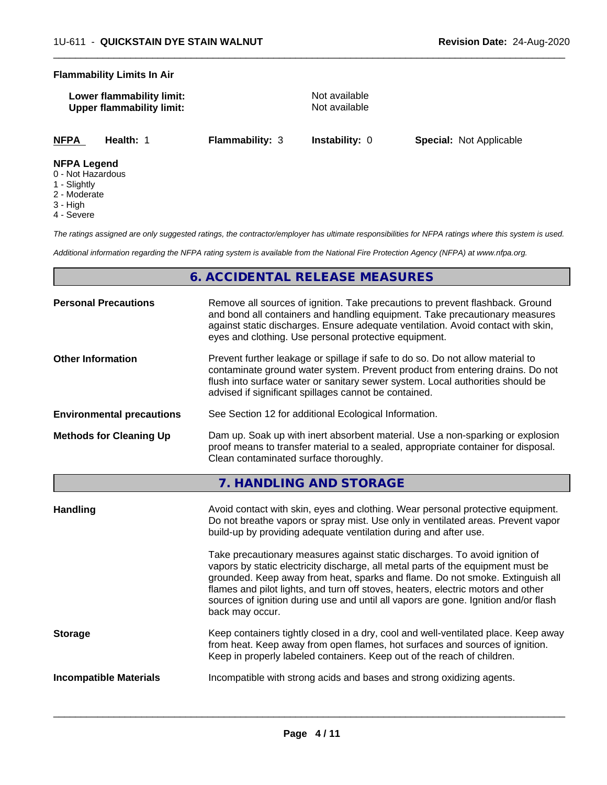#### **Flammability Limits In Air**

| Lower flammability limit:        |  |
|----------------------------------|--|
| <b>Upper flammability limit:</b> |  |

**Not available Not available** 

 $\overline{\phantom{a}}$  ,  $\overline{\phantom{a}}$  ,  $\overline{\phantom{a}}$  ,  $\overline{\phantom{a}}$  ,  $\overline{\phantom{a}}$  ,  $\overline{\phantom{a}}$  ,  $\overline{\phantom{a}}$  ,  $\overline{\phantom{a}}$  ,  $\overline{\phantom{a}}$  ,  $\overline{\phantom{a}}$  ,  $\overline{\phantom{a}}$  ,  $\overline{\phantom{a}}$  ,  $\overline{\phantom{a}}$  ,  $\overline{\phantom{a}}$  ,  $\overline{\phantom{a}}$  ,  $\overline{\phantom{a}}$ 

**NFPA Health:** 1 **Flammability:** 3 **Instability:** 0 **Special:** Not Applicable

#### **NFPA Legend**

- 0 Not Hazardous
- 1 Slightly
- 2 Moderate
- 3 High
- 4 Severe

*The ratings assigned are only suggested ratings, the contractor/employer has ultimate responsibilities for NFPA ratings where this system is used.*

*Additional information regarding the NFPA rating system is available from the National Fire Protection Agency (NFPA) at www.nfpa.org.*

# **6. ACCIDENTAL RELEASE MEASURES**

| Remove all sources of ignition. Take precautions to prevent flashback. Ground<br>and bond all containers and handling equipment. Take precautionary measures<br>against static discharges. Ensure adequate ventilation. Avoid contact with skin,<br>eyes and clothing. Use personal protective equipment.  |
|------------------------------------------------------------------------------------------------------------------------------------------------------------------------------------------------------------------------------------------------------------------------------------------------------------|
| Prevent further leakage or spillage if safe to do so. Do not allow material to<br>contaminate ground water system. Prevent product from entering drains. Do not<br>flush into surface water or sanitary sewer system. Local authorities should be<br>advised if significant spillages cannot be contained. |
| See Section 12 for additional Ecological Information.                                                                                                                                                                                                                                                      |
| Dam up. Soak up with inert absorbent material. Use a non-sparking or explosion<br>proof means to transfer material to a sealed, appropriate container for disposal.<br>Clean contaminated surface thoroughly.                                                                                              |
|                                                                                                                                                                                                                                                                                                            |

**7. HANDLING AND STORAGE**

| Take precautionary measures against static discharges. To avoid ignition of<br>vapors by static electricity discharge, all metal parts of the equipment must be<br>grounded. Keep away from heat, sparks and flame. Do not smoke. Extinguish all<br>flames and pilot lights, and turn off stoves, heaters, electric motors and other<br>sources of ignition during use and until all vapors are gone. Ignition and/or flash<br>back may occur. |
|------------------------------------------------------------------------------------------------------------------------------------------------------------------------------------------------------------------------------------------------------------------------------------------------------------------------------------------------------------------------------------------------------------------------------------------------|
| Keep containers tightly closed in a dry, cool and well-ventilated place. Keep away<br><b>Storage</b><br>from heat. Keep away from open flames, hot surfaces and sources of ignition.<br>Keep in properly labeled containers. Keep out of the reach of children.                                                                                                                                                                                |
| Incompatible with strong acids and bases and strong oxidizing agents.<br><b>Incompatible Materials</b>                                                                                                                                                                                                                                                                                                                                         |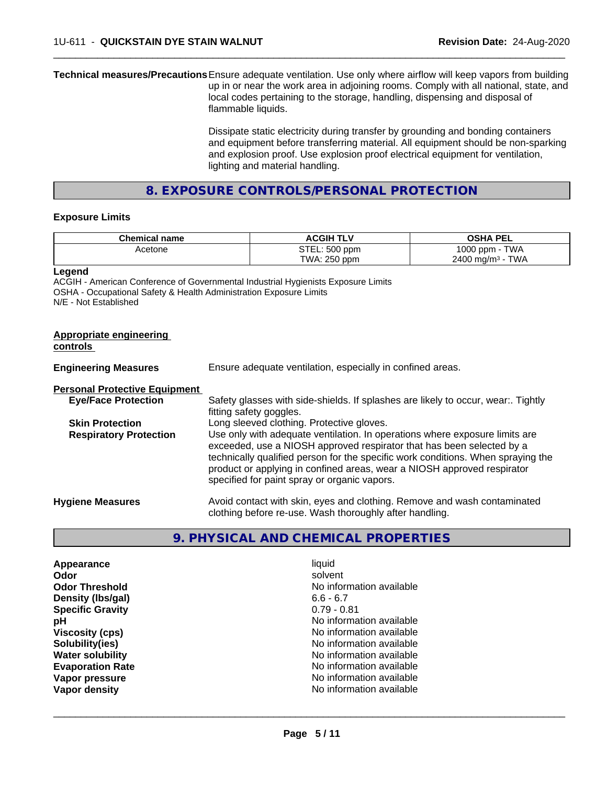**Technical measures/Precautions**Ensure adequate ventilation. Use only where airflow will keep vapors from building up in or near the work area in adjoining rooms. Comply with all national, state, and local codes pertaining to the storage, handling, dispensing and disposal of flammable liquids.

> Dissipate static electricity during transfer by grounding and bonding containers and equipment before transferring material. All equipment should be non-sparking and explosion proof. Use explosion proof electrical equipment for ventilation, lighting and material handling.

 $\overline{\phantom{a}}$  ,  $\overline{\phantom{a}}$  ,  $\overline{\phantom{a}}$  ,  $\overline{\phantom{a}}$  ,  $\overline{\phantom{a}}$  ,  $\overline{\phantom{a}}$  ,  $\overline{\phantom{a}}$  ,  $\overline{\phantom{a}}$  ,  $\overline{\phantom{a}}$  ,  $\overline{\phantom{a}}$  ,  $\overline{\phantom{a}}$  ,  $\overline{\phantom{a}}$  ,  $\overline{\phantom{a}}$  ,  $\overline{\phantom{a}}$  ,  $\overline{\phantom{a}}$  ,  $\overline{\phantom{a}}$ 

**8. EXPOSURE CONTROLS/PERSONAL PROTECTION**

#### **Exposure Limits**

| <b>Chemical name</b> | <b>ACGIH</b><br>L | <b>OSHA PEL</b>                |
|----------------------|-------------------|--------------------------------|
| Acetone              | STEL: 500 ppm     | <b>TWA</b><br>1000<br>J ppm -  |
|                      | TWA: 250 ppm      | TWA<br>$2400 \; \text{ma/m}^3$ |

**Legend**

ACGIH - American Conference of Governmental Industrial Hygienists Exposure Limits OSHA - Occupational Safety & Health Administration Exposure Limits N/E - Not Established

| Appropriate engineering<br>controls  |                                                                                                                                                                                                                                                                                                                                                                     |
|--------------------------------------|---------------------------------------------------------------------------------------------------------------------------------------------------------------------------------------------------------------------------------------------------------------------------------------------------------------------------------------------------------------------|
| <b>Engineering Measures</b>          | Ensure adequate ventilation, especially in confined areas.                                                                                                                                                                                                                                                                                                          |
| <b>Personal Protective Equipment</b> |                                                                                                                                                                                                                                                                                                                                                                     |
| <b>Eye/Face Protection</b>           | Safety glasses with side-shields. If splashes are likely to occur, wear Tightly<br>fitting safety goggles.                                                                                                                                                                                                                                                          |
| <b>Skin Protection</b>               | Long sleeved clothing. Protective gloves.                                                                                                                                                                                                                                                                                                                           |
| <b>Respiratory Protection</b>        | Use only with adequate ventilation. In operations where exposure limits are<br>exceeded, use a NIOSH approved respirator that has been selected by a<br>technically qualified person for the specific work conditions. When spraying the<br>product or applying in confined areas, wear a NIOSH approved respirator<br>specified for paint spray or organic vapors. |
| <b>Hygiene Measures</b>              | Avoid contact with skin, eyes and clothing. Remove and wash contaminated<br>clothing before re-use. Wash thoroughly after handling.                                                                                                                                                                                                                                 |

# **9. PHYSICAL AND CHEMICAL PROPERTIES**

| Appearance              | liquid                   |
|-------------------------|--------------------------|
| Odor                    | solvent                  |
| <b>Odor Threshold</b>   | No information available |
| Density (Ibs/gal)       | $6.6 - 6.7$              |
| <b>Specific Gravity</b> | $0.79 - 0.81$            |
| рH                      | No information available |
| <b>Viscosity (cps)</b>  | No information available |
| Solubility(ies)         | No information available |
| <b>Water solubility</b> | No information available |
| <b>Evaporation Rate</b> | No information available |
| Vapor pressure          | No information available |
| Vapor density           | No information available |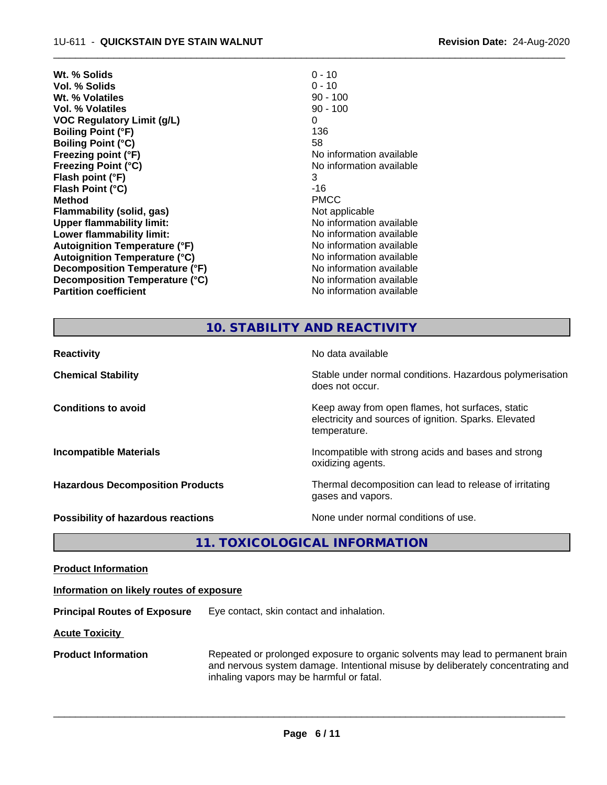| $0 - 10$                 |
|--------------------------|
| $0 - 10$                 |
| $90 - 100$               |
| $90 - 100$               |
| 0                        |
| 136                      |
| 58                       |
| No information available |
| No information available |
| 3                        |
| -16                      |
| <b>PMCC</b>              |
| Not applicable           |
| No information available |
| No information available |
| No information available |
| No information available |
| No information available |
| No information available |
| No information available |
|                          |

# **10. STABILITY AND REACTIVITY**

 $\overline{\phantom{a}}$  ,  $\overline{\phantom{a}}$  ,  $\overline{\phantom{a}}$  ,  $\overline{\phantom{a}}$  ,  $\overline{\phantom{a}}$  ,  $\overline{\phantom{a}}$  ,  $\overline{\phantom{a}}$  ,  $\overline{\phantom{a}}$  ,  $\overline{\phantom{a}}$  ,  $\overline{\phantom{a}}$  ,  $\overline{\phantom{a}}$  ,  $\overline{\phantom{a}}$  ,  $\overline{\phantom{a}}$  ,  $\overline{\phantom{a}}$  ,  $\overline{\phantom{a}}$  ,  $\overline{\phantom{a}}$ 

| <b>Reactivity</b>                         | No data available                                                                                                         |
|-------------------------------------------|---------------------------------------------------------------------------------------------------------------------------|
| <b>Chemical Stability</b>                 | Stable under normal conditions. Hazardous polymerisation<br>does not occur.                                               |
| <b>Conditions to avoid</b>                | Keep away from open flames, hot surfaces, static<br>electricity and sources of ignition. Sparks. Elevated<br>temperature. |
| <b>Incompatible Materials</b>             | Incompatible with strong acids and bases and strong<br>oxidizing agents.                                                  |
| <b>Hazardous Decomposition Products</b>   | Thermal decomposition can lead to release of irritating<br>gases and vapors.                                              |
| <b>Possibility of hazardous reactions</b> | None under normal conditions of use.                                                                                      |

**11. TOXICOLOGICAL INFORMATION**

**Product Information**

### **Information on likely routes of exposure**

**Principal Routes of Exposure** Eye contact, skin contact and inhalation.

**Acute Toxicity** 

**Product Information** Repeated or prolonged exposure to organic solvents may lead to permanent brain and nervous system damage. Intentional misuse by deliberately concentrating and inhaling vapors may be harmful or fatal.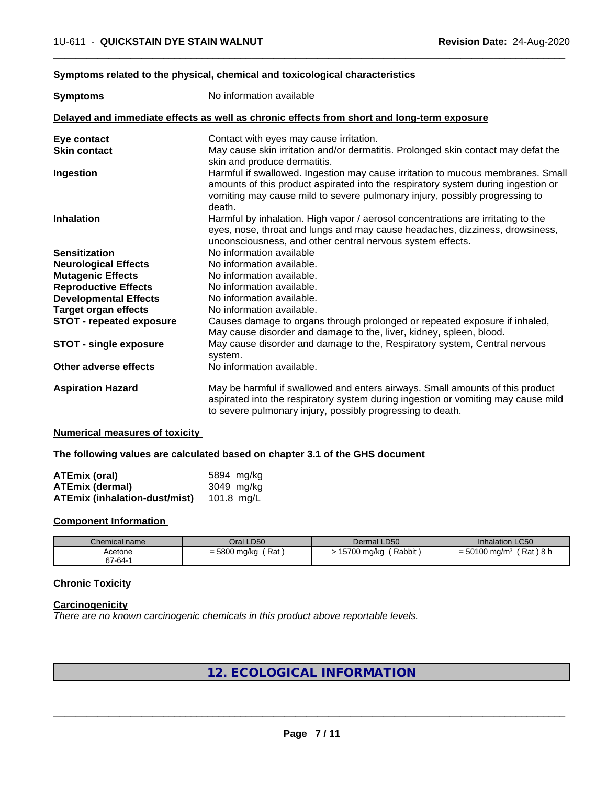#### **Symptoms related to the physical,chemical and toxicological characteristics**

| <b>Symptoms</b>                 | No information available                                                                                                                                                                                                                                      |  |  |
|---------------------------------|---------------------------------------------------------------------------------------------------------------------------------------------------------------------------------------------------------------------------------------------------------------|--|--|
|                                 | Delayed and immediate effects as well as chronic effects from short and long-term exposure                                                                                                                                                                    |  |  |
| Eye contact                     | Contact with eyes may cause irritation.                                                                                                                                                                                                                       |  |  |
| <b>Skin contact</b>             | May cause skin irritation and/or dermatitis. Prolonged skin contact may defat the                                                                                                                                                                             |  |  |
|                                 | skin and produce dermatitis.                                                                                                                                                                                                                                  |  |  |
| Ingestion                       | Harmful if swallowed. Ingestion may cause irritation to mucous membranes. Small<br>amounts of this product aspirated into the respiratory system during ingestion or<br>vomiting may cause mild to severe pulmonary injury, possibly progressing to<br>death. |  |  |
| <b>Inhalation</b>               | Harmful by inhalation. High vapor / aerosol concentrations are irritating to the<br>eyes, nose, throat and lungs and may cause headaches, dizziness, drowsiness,<br>unconsciousness, and other central nervous system effects.                                |  |  |
| <b>Sensitization</b>            | No information available                                                                                                                                                                                                                                      |  |  |
| <b>Neurological Effects</b>     | No information available.                                                                                                                                                                                                                                     |  |  |
| <b>Mutagenic Effects</b>        | No information available.                                                                                                                                                                                                                                     |  |  |
| <b>Reproductive Effects</b>     | No information available.                                                                                                                                                                                                                                     |  |  |
| <b>Developmental Effects</b>    | No information available.                                                                                                                                                                                                                                     |  |  |
| <b>Target organ effects</b>     | No information available.                                                                                                                                                                                                                                     |  |  |
| <b>STOT - repeated exposure</b> | Causes damage to organs through prolonged or repeated exposure if inhaled,<br>May cause disorder and damage to the, liver, kidney, spleen, blood.                                                                                                             |  |  |
| <b>STOT - single exposure</b>   | May cause disorder and damage to the, Respiratory system, Central nervous<br>system.                                                                                                                                                                          |  |  |
| Other adverse effects           | No information available.                                                                                                                                                                                                                                     |  |  |
| <b>Aspiration Hazard</b>        | May be harmful if swallowed and enters airways. Small amounts of this product<br>aspirated into the respiratory system during ingestion or vomiting may cause mild<br>to severe pulmonary injury, possibly progressing to death.                              |  |  |

 $\overline{\phantom{a}}$  ,  $\overline{\phantom{a}}$  ,  $\overline{\phantom{a}}$  ,  $\overline{\phantom{a}}$  ,  $\overline{\phantom{a}}$  ,  $\overline{\phantom{a}}$  ,  $\overline{\phantom{a}}$  ,  $\overline{\phantom{a}}$  ,  $\overline{\phantom{a}}$  ,  $\overline{\phantom{a}}$  ,  $\overline{\phantom{a}}$  ,  $\overline{\phantom{a}}$  ,  $\overline{\phantom{a}}$  ,  $\overline{\phantom{a}}$  ,  $\overline{\phantom{a}}$  ,  $\overline{\phantom{a}}$ 

#### **Numerical measures of toxicity**

#### **The following values are calculated based on chapter 3.1 of the GHS document**

| ATEmix (oral)                        | 5894 mg/kg |
|--------------------------------------|------------|
| <b>ATEmix (dermal)</b>               | 3049 mg/kg |
| <b>ATEmix (inhalation-dust/mist)</b> | 101.8 mg/L |

#### **Component Information**

| Chemical name | Oral LD50           | Dermal LD50           | <b>Inhalation LC50</b>                  |
|---------------|---------------------|-----------------------|-----------------------------------------|
| Acetone       | Rat<br>= 5800 mg/kg | Rabbit<br>15700 mg/kg | (Rat)8 h<br>$= 50100$ mg/m <sup>3</sup> |
| 67-64-1       |                     |                       |                                         |

# **Chronic Toxicity**

#### **Carcinogenicity**

*There are no known carcinogenic chemicals in this product above reportable levels.*

# **12. ECOLOGICAL INFORMATION**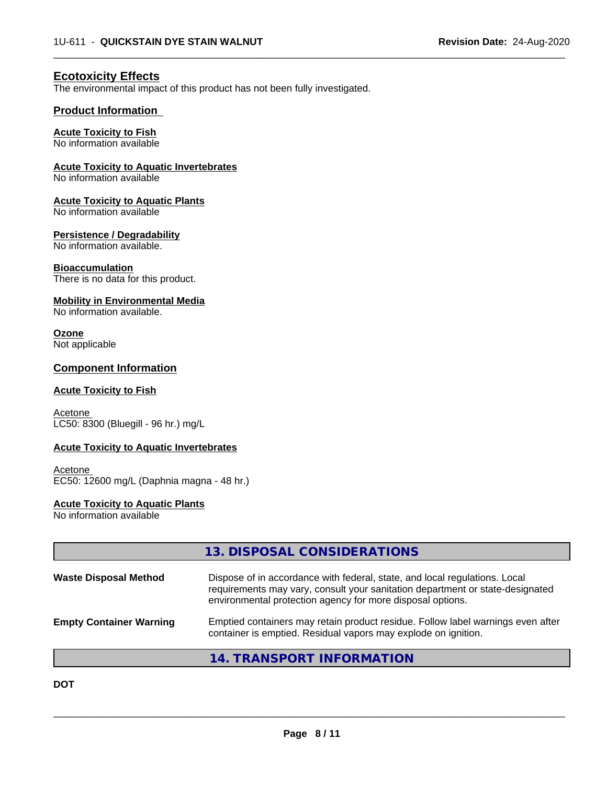$\overline{\phantom{a}}$  ,  $\overline{\phantom{a}}$  ,  $\overline{\phantom{a}}$  ,  $\overline{\phantom{a}}$  ,  $\overline{\phantom{a}}$  ,  $\overline{\phantom{a}}$  ,  $\overline{\phantom{a}}$  ,  $\overline{\phantom{a}}$  ,  $\overline{\phantom{a}}$  ,  $\overline{\phantom{a}}$  ,  $\overline{\phantom{a}}$  ,  $\overline{\phantom{a}}$  ,  $\overline{\phantom{a}}$  ,  $\overline{\phantom{a}}$  ,  $\overline{\phantom{a}}$  ,  $\overline{\phantom{a}}$ 

# **Ecotoxicity Effects**

The environmental impact of this product has not been fully investigated.

## **Product Information**

### **Acute Toxicity to Fish**

No information available

#### **Acute Toxicity to Aquatic Invertebrates**

No information available

#### **Acute Toxicity to Aquatic Plants**

No information available

#### **Persistence / Degradability**

No information available.

#### **Bioaccumulation**

There is no data for this product.

#### **Mobility in Environmental Media**

No information available.

# **Ozone**

Not applicable

## **Component Information**

#### **Acute Toxicity to Fish**

**Acetone** LC50: 8300 (Bluegill - 96 hr.) mg/L

#### **Acute Toxicity to Aquatic Invertebrates**

Acetone EC50: 12600 mg/L (Daphnia magna - 48 hr.)

#### **Acute Toxicity to Aquatic Plants**

No information available

|                                | 13. DISPOSAL CONSIDERATIONS                                                                                                                                                                                               |
|--------------------------------|---------------------------------------------------------------------------------------------------------------------------------------------------------------------------------------------------------------------------|
| <b>Waste Disposal Method</b>   | Dispose of in accordance with federal, state, and local regulations. Local<br>requirements may vary, consult your sanitation department or state-designated<br>environmental protection agency for more disposal options. |
| <b>Empty Container Warning</b> | Emptied containers may retain product residue. Follow label warnings even after<br>container is emptied. Residual vapors may explode on ignition.                                                                         |
|                                | 14. TRANSPORT INFORMATION                                                                                                                                                                                                 |

**DOT**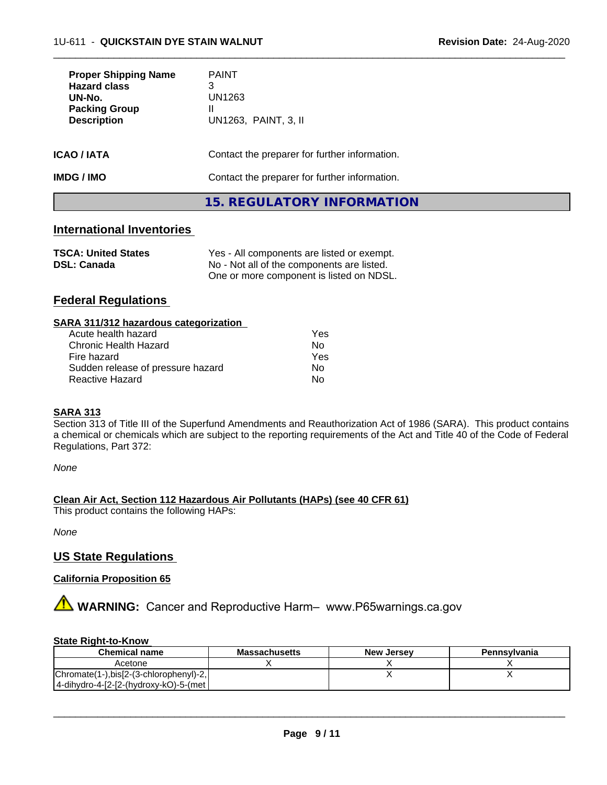| <b>Proper Shipping Name</b><br><b>Hazard class</b><br>UN-No.<br><b>Packing Group</b><br><b>Description</b> | <b>PAINT</b><br>3<br>UN1263<br>Ш<br>UN1263, PAINT, 3, II |
|------------------------------------------------------------------------------------------------------------|----------------------------------------------------------|
| ICAO / IATA                                                                                                | Contact the preparer for further information.            |
| IMDG / IMO                                                                                                 | Contact the preparer for further information.            |
|                                                                                                            | 15. REGULATORY INFORMATION                               |

 $\overline{\phantom{a}}$  ,  $\overline{\phantom{a}}$  ,  $\overline{\phantom{a}}$  ,  $\overline{\phantom{a}}$  ,  $\overline{\phantom{a}}$  ,  $\overline{\phantom{a}}$  ,  $\overline{\phantom{a}}$  ,  $\overline{\phantom{a}}$  ,  $\overline{\phantom{a}}$  ,  $\overline{\phantom{a}}$  ,  $\overline{\phantom{a}}$  ,  $\overline{\phantom{a}}$  ,  $\overline{\phantom{a}}$  ,  $\overline{\phantom{a}}$  ,  $\overline{\phantom{a}}$  ,  $\overline{\phantom{a}}$ 

# **International Inventories**

| <b>TSCA: United States</b> | Yes - All components are listed or exempt. |
|----------------------------|--------------------------------------------|
| <b>DSL: Canada</b>         | No - Not all of the components are listed. |
|                            | One or more component is listed on NDSL.   |

# **Federal Regulations**

| SARA 311/312 hazardous categorization |     |
|---------------------------------------|-----|
| Acute health hazard                   | Yes |
| Chronic Health Hazard                 | No. |
| Fire hazard                           | Yes |
| Sudden release of pressure hazard     | No  |

Reactive Hazard No. No. 2014

#### **SARA 313**

Section 313 of Title III of the Superfund Amendments and Reauthorization Act of 1986 (SARA). This product contains a chemical or chemicals which are subject to the reporting requirements of the Act and Title 40 of the Code of Federal Regulations, Part 372:

*None*

#### **Clean Air Act,Section 112 Hazardous Air Pollutants (HAPs) (see 40 CFR 61)**

This product contains the following HAPs:

*None*

## **US State Regulations**

#### **California Proposition 65**

**AVIMARNING:** Cancer and Reproductive Harm– www.P65warnings.ca.gov

#### **State Right-to-Know**

| <b>Chemical name</b>                   | <b>Massachusetts</b> | <b>New Jersey</b> | Pennsylvania |
|----------------------------------------|----------------------|-------------------|--------------|
| Acetone                                |                      |                   |              |
| Chromate(1-),bis[2-(3-chlorophenyl)-2, |                      |                   |              |
| 4-dihydro-4-[2-[2-(hydroxy-kO)-5-(met  |                      |                   |              |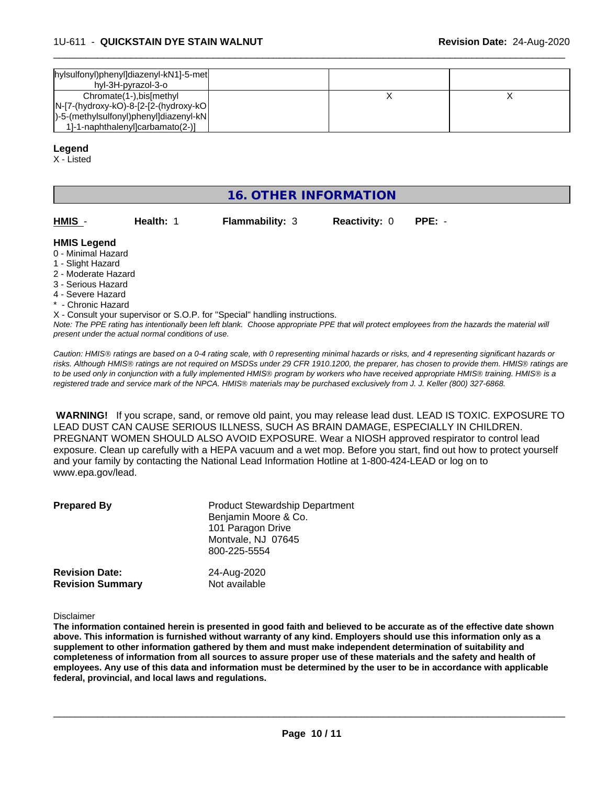| hylsulfonyl)phenyl]diazenyl-kN1]-5-met<br>hyl-3H-pyrazol-3-o                                                                                        |  |  |
|-----------------------------------------------------------------------------------------------------------------------------------------------------|--|--|
| Chromate(1-), bis[methyl<br>$ N-[7-(hydroxy-kO)-8-[2-[2-(hydroxy-kO)]$<br> )-5-(methylsulfonyl)phenyl]diazenyl-kN <br>1-1-naphthalenyloarbamato(2-) |  |  |

 $\overline{\phantom{a}}$  ,  $\overline{\phantom{a}}$  ,  $\overline{\phantom{a}}$  ,  $\overline{\phantom{a}}$  ,  $\overline{\phantom{a}}$  ,  $\overline{\phantom{a}}$  ,  $\overline{\phantom{a}}$  ,  $\overline{\phantom{a}}$  ,  $\overline{\phantom{a}}$  ,  $\overline{\phantom{a}}$  ,  $\overline{\phantom{a}}$  ,  $\overline{\phantom{a}}$  ,  $\overline{\phantom{a}}$  ,  $\overline{\phantom{a}}$  ,  $\overline{\phantom{a}}$  ,  $\overline{\phantom{a}}$ 

#### **Legend**

X - Listed

# **16. OTHER INFORMATION**

| HMIS               | Health: 1 | <b>Flammability: 3</b> | <b>Reactivity: 0</b> | PPE: - |  |
|--------------------|-----------|------------------------|----------------------|--------|--|
| <b>HMIS Legend</b> |           |                        |                      |        |  |

- 0 Minimal Hazard
- 1 Slight Hazard
- 2 Moderate Hazard
- 3 Serious Hazard
- 4 Severe Hazard
- Chronic Hazard

*Note: The PPE rating has intentionally been left blank. Choose appropriate PPE that will protect employees from the hazards the material will present under the actual normal conditions of use.* X - Consult your supervisor or S.O.P. for "Special" handling instructions.

*Caution: HMISÒ ratings are based on a 0-4 rating scale, with 0 representing minimal hazards or risks, and 4 representing significant hazards or risks. Although HMISÒ ratings are not required on MSDSs under 29 CFR 1910.1200, the preparer, has chosen to provide them. HMISÒ ratings are to be used only in conjunction with a fully implemented HMISÒ program by workers who have received appropriate HMISÒ training. HMISÒ is a registered trade and service mark of the NPCA. HMISÒ materials may be purchased exclusively from J. J. Keller (800) 327-6868.*

 **WARNING!** If you scrape, sand, or remove old paint, you may release lead dust. LEAD IS TOXIC. EXPOSURE TO LEAD DUST CAN CAUSE SERIOUS ILLNESS, SUCH AS BRAIN DAMAGE, ESPECIALLY IN CHILDREN. PREGNANT WOMEN SHOULD ALSO AVOID EXPOSURE.Wear a NIOSH approved respirator to control lead exposure. Clean up carefully with a HEPA vacuum and a wet mop. Before you start, find out how to protect yourself and your family by contacting the National Lead Information Hotline at 1-800-424-LEAD or log on to www.epa.gov/lead.

| <b>Prepared By</b>      | <b>Product Stewardship Department</b><br>Benjamin Moore & Co.<br>101 Paragon Drive<br>Montvale, NJ 07645<br>800-225-5554 |
|-------------------------|--------------------------------------------------------------------------------------------------------------------------|
| <b>Revision Date:</b>   | 24-Aug-2020                                                                                                              |
| <b>Revision Summary</b> | Not available                                                                                                            |

Disclaimer

The information contained herein is presented in good faith and believed to be accurate as of the effective date shown above. This information is furnished without warranty of any kind. Employers should use this information only as a **supplement to other information gathered by them and must make independent determination of suitability and** completeness of information from all sources to assure proper use of these materials and the safety and health of employees. Any use of this data and information must be determined by the user to be in accordance with applicable **federal, provincial, and local laws and regulations.**